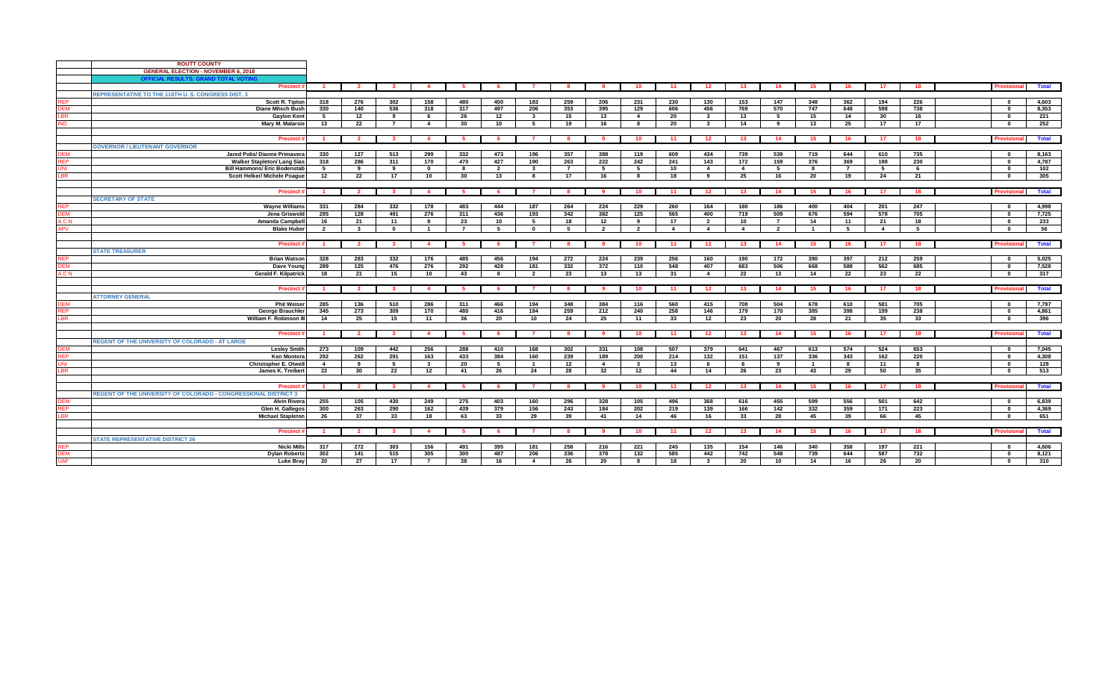|            | <b>ROUTT COUNTY</b>                                             |                |                         |                         |                         |                |                 |                         |                |                |                         |                |                         |                |                |                |                |                |     |                          |              |
|------------|-----------------------------------------------------------------|----------------|-------------------------|-------------------------|-------------------------|----------------|-----------------|-------------------------|----------------|----------------|-------------------------|----------------|-------------------------|----------------|----------------|----------------|----------------|----------------|-----|--------------------------|--------------|
|            | <b>GENERAL ELECTION - NOVEMBER 6, 2018</b>                      |                |                         |                         |                         |                |                 |                         |                |                |                         |                |                         |                |                |                |                |                |     |                          |              |
|            | OFFICIAL RESULTS: GRAND TOTAL VOTIN                             |                |                         |                         |                         |                |                 |                         |                |                |                         |                |                         |                |                |                |                |                |     |                          |              |
|            | <b>Precinct</b>                                                 | $\overline{1}$ | $\overline{2}$          | $\overline{\mathbf{3}}$ | $\overline{4}$          | 5              | - 6             | $\overline{7}$          | 8              | 9              | 10                      | 11             | $-12$                   | $-13$          | 14             | 15             | 16             | 17             | 18  | <b>rovision</b>          | <b>Total</b> |
|            | <b>REPRESENTATIVE TO THE 116TH U. S. CONGRESS DIST. 3</b>       |                |                         |                         |                         |                |                 |                         |                |                |                         |                |                         |                |                |                |                |                |     |                          |              |
| REP        | <b>Scott R. Tipton</b>                                          | 318            | 276                     | 302                     | 158                     | 480            | 400             | 183                     | 259            | 206            | 231                     | 230            | 130                     | 153            | 147            | 348            | 362            | 194            | 226 | $\mathbf{0}$             | 4,603        |
| DEM        | <b>Diane Mitsch Bush</b>                                        | 330            | 140                     | 536                     | 318                     | 317            | 497             | 206                     | 353            | 395            | 129                     | 606            | 456                     | 769            | 570            | 747            | 648            | 598            | 738 | $\Omega$                 | 8,353        |
| BR.        | <b>Gaylon Kent</b>                                              | -5             | 12                      | 9                       | 6                       | 26             | 12              | $\mathbf{3}$            | 15             | 13             | $\overline{4}$          | 20             | $\mathbf{3}$            | 13             | 5              | 15             | 14             | 30             | 16  | $\mathbf{0}$             | 221          |
| <b>IND</b> | Mary M. Malarsie                                                | 13             | 22                      | $\overline{7}$          | $\overline{4}$          | 30             | 10 <sup>1</sup> | 5                       | 19             | 16             | 8                       | 20             | $\overline{\mathbf{3}}$ | 14             | 9              | 13             | 25             | 17             | 17  | $\mathbf{0}$             | 252          |
|            |                                                                 |                |                         |                         |                         |                |                 |                         |                |                |                         |                |                         |                |                |                |                |                |     |                          |              |
|            |                                                                 |                |                         |                         |                         |                |                 |                         |                |                |                         |                |                         |                |                |                |                |                |     |                          |              |
|            | <b>Precinct</b>                                                 |                | $\overline{\mathbf{2}}$ | - 3                     |                         | -5             |                 |                         |                |                | 10                      | -11            | 12                      | 13             | 14             | 15             | 16             | -17            | 18  | Provisiona               | Total        |
|            | <b>GOVERNOR / LIEUTENANT GOVERNOR</b>                           |                |                         |                         |                         |                |                 |                         |                |                |                         |                |                         |                |                |                |                |                |     |                          |              |
| <b>DEM</b> | Jared Polis/ Dianne Primavera                                   | 330            | 127                     | 513                     | 299                     | 332            | 473             | 196                     | 357            | 388            | 119                     | 609            | 434                     | 739            | 539            | 719            | 644            | 610            | 735 | $\mathbf{u}$             | 8,163        |
| <b>REP</b> | <b>Walker Stapleton/ Lang Sias</b>                              | 318            | 286                     | 311                     | 170                     | 470            | 427             | 190                     | 263            | 222            | 242                     | 241            | 143                     | 172            | 159            | 376            | 369            | 198            | 230 | $\mathbf 0$              | 4,787        |
| ML         | <b>Bill Hammons/ Eric Bodenstab</b>                             | 5              | 9                       | 9                       | $\Omega$                | 8              | $\overline{2}$  | $\overline{\mathbf{3}}$ | $\overline{7}$ | 5              | 5                       | 10             | $\overline{4}$          | $\overline{4}$ | 5              | 8              | $\overline{7}$ | 5              | 6   | $\Omega$                 | 102          |
| BR.        | Scott Helker/ Michele Poague                                    | 12             | 22                      | 17                      | 10                      | 30             | 13              | 8                       | 17             | 16             | 8                       | 18             | 9                       | 25             | 16             | 20             | 19             | 24             | 21  | $\mathbf{0}$             | 305          |
|            |                                                                 |                |                         |                         |                         |                |                 |                         |                |                |                         |                |                         |                |                |                |                |                |     |                          |              |
|            | <b>Precinct</b>                                                 |                | $\overline{\mathbf{2}}$ | - 3                     | $\overline{\mathbf{4}}$ | -5             |                 |                         | -8             |                | 10                      | 11             | 12                      | - 13           | 14             | 15             | 16             | - 17           | 18  | Provisiona               | Total        |
|            | <b>SECRETARY OF STATE</b>                                       |                |                         |                         |                         |                |                 |                         |                |                |                         |                |                         |                |                |                |                |                |     |                          |              |
| <b>REP</b> | <b>Wayne Williams</b>                                           | 331            | 284                     | 332                     | 178                     | 483            | 444             | 187                     | 264            | 224            | 229                     | 260            | 164                     | 180            | 186            | 400            | 404            | 201            | 247 | $\Omega$                 | 4,998        |
| <b>DEM</b> | Jena Griswold                                                   | 295            | 128                     | 491                     | 276                     | 311            | 436             | 193                     | 342            | 382            | 125                     | 565            | 400                     | 719            | 509            | 676            | 594            | 578            | 705 | - 0                      | 7.725        |
| ACN        | <b>Amanda Campbell</b>                                          | 16             | 21                      | 11                      | 8                       | 23             | 10              | 5                       | 18             | 12             | 9                       | 17             | $\overline{2}$          | 10             | $\overline{7}$ | 14             | 11             | 21             | 18  | $\mathbf 0$              | 233          |
| <b>APV</b> | <b>Blake Huber</b>                                              | $\overline{2}$ | $\mathbf{3}$            | $\mathbf{0}$            | $\overline{\mathbf{1}}$ | $\overline{7}$ | 5               | $\mathbf{0}$            | 5              | $\overline{2}$ | $\overline{2}$          | $\overline{4}$ | $\overline{4}$          | $\overline{4}$ | $\overline{2}$ | $\overline{1}$ | 5              | $\overline{4}$ | 5   | $\mathbf{r}$             | 56           |
|            |                                                                 |                |                         |                         |                         |                |                 |                         |                |                |                         |                |                         |                |                |                |                |                |     |                          |              |
|            |                                                                 |                |                         |                         |                         |                |                 |                         |                |                |                         |                |                         |                |                |                |                |                |     |                          |              |
|            | <b>Precinc</b>                                                  | $\overline{1}$ | $\overline{\mathbf{2}}$ | $\overline{\mathbf{3}}$ | $\overline{4}$          | - 5            | 6               | $\mathbf{7}$            | 8              | - 9            | 10                      | $-11$          | 12                      | 13             | 14             | 15             | 16             | 17             | 18  | <b>rovisiona</b>         | <b>Total</b> |
|            | <b>STATE TREASURER</b>                                          |                |                         |                         |                         |                |                 |                         |                |                |                         |                |                         |                |                |                |                |                |     |                          |              |
| REP        | <b>Brian Watson</b>                                             | 328            | 283                     | 332                     | 176                     | 485            | 456             | 194                     | 272            | 224            | 239                     | 256            | 160                     | 190            | 172            | 390            | 397            | 212            | 259 | $\mathbf{0}$             | 5,025        |
| <b>DEM</b> | Dave Young                                                      | 289            | 125                     | 476                     | 276                     | 292            | 428             | 181                     | 332            | 372            | 110                     | 548            | 407                     | 683            | 506            | 668            | 588            | 562            | 685 | $\mathbf 0$              | 7,528        |
| ACN        | <b>Gerald F. Kilpatrick</b>                                     | 18             | 21                      | 15                      | 10                      | 43             | 8               | $\overline{2}$          | 23             | 13             | 13                      | 31             | $\overline{4}$          | 22             | 13             | 14             | 22             | 23             | 22  | $\mathbf{0}$             | 317          |
|            |                                                                 |                |                         |                         |                         |                |                 |                         |                |                |                         |                |                         |                |                |                |                |                |     |                          |              |
|            | <b>Precinct</b>                                                 |                | $\overline{\mathbf{2}}$ | $\mathbf{3}$            |                         |                |                 |                         | -8             |                | 10 <sub>1</sub>         | 11             | 12                      | 13             | 14             | 15             | 16             | 17             | 18  | Provisiona               | <b>Total</b> |
|            | <b>ATTORNEY GENERAL</b>                                         |                |                         |                         |                         |                |                 |                         |                |                |                         |                |                         |                |                |                |                |                |     |                          |              |
| DEM        | <b>Phil Weiser</b>                                              | 285            | 136                     | 510                     | 286                     | 311            | 466             | 194                     | 348            | 384            | 116                     | 560            | 415                     | 708            | 504            | 678            | 610            | 581            | 705 | $\Omega$                 | 7,797        |
| <b>REP</b> | <b>George Brauchler</b>                                         | 345            | 273                     | 309                     | 170                     | 480            | 416             | 184                     | 259            | 212            | 240                     | 258            | 146                     | 179            | 170            | 385            | 398            | 199            | 238 | - 0                      | 4.861        |
| <b>BR</b>  | William F. Robinson I                                           | 14             | 25                      | 15                      | 11                      | 36             | 20              | 10                      | 24             | 25             | 11                      | 33             | 12                      | 23             | 20             | 28             | 21             | 35             | 33  | $\Omega$                 | 396          |
|            |                                                                 |                |                         |                         |                         |                |                 |                         |                |                |                         |                |                         |                |                |                |                |                |     |                          |              |
|            | Precinct                                                        |                | $\overline{\mathbf{2}}$ | - 3                     |                         | -5             |                 |                         | -8             |                | 10                      | 11             | 12                      | 13             | 14             | 15             | 16             | 17             | 18  | <b>Provision</b>         | <b>Total</b> |
|            | <b>REGENT OF THE UNIVERSITY OF COLORADO - AT LARGE</b>          |                |                         |                         |                         |                |                 |                         |                |                |                         |                |                         |                |                |                |                |                |     |                          |              |
| <b>DEM</b> | <b>Leslev Smith</b>                                             |                | 109                     | 442                     | 256                     | 288            | 410             | 168                     | 302            | 331            | 108                     | 507            | 379                     | 641            | 467            | 613            | 574            | 524            | 653 |                          | 7,045        |
| <b>REP</b> | <b>Ken Montera</b>                                              | 273<br>292     | 262                     | 291                     | 163                     | 433            | 384             | 160                     | 239            | 189            | 200                     | 214            | 132                     | 151            |                | 336            | 343            | 162            | 220 | $\mathbf{0}$<br>$\Omega$ | 4,308        |
|            |                                                                 |                |                         |                         |                         |                |                 |                         |                |                |                         |                |                         |                | 137            |                |                |                |     |                          |              |
| ΙNΙ        | <b>Christopher E. Otwell</b>                                    | $\overline{4}$ | 9                       | 5                       | $\mathbf{3}$            | 20             | 5               | $\overline{1}$          | 12             | $\overline{4}$ | $\overline{\mathbf{3}}$ | 13             | 6                       | 6              | 9              | $\overline{1}$ | 8              | 11             | 8   | $\mathbf{r}$             | 128          |
| BR.        | James K. Treibert                                               | 22             | 30                      | 22                      | 12                      | 41             | 26              | 24                      | 28             | 32             | 12                      | 44             | 14                      | 26             | 23             | 43             | 29             | 50             | 35  | $\mathbf 0$              | 513          |
|            |                                                                 |                |                         |                         |                         |                |                 |                         |                |                |                         |                |                         |                |                |                |                |                |     |                          |              |
|            | Precinct                                                        | - 1            | $\overline{\mathbf{2}}$ | $\mathbf{3}$            |                         | -5             |                 |                         | -8             |                | 10 <sup>°</sup>         | - 11           | 12                      | 13             | 14             | 15             | 16             | 17             | 18  | <b>rovision:</b>         | <b>Total</b> |
|            | REGENT OF THE UNIVERSITY OF COLORADO - CONGRESSIONAL DISTRICT 3 |                |                         |                         |                         |                |                 |                         |                |                |                         |                |                         |                |                |                |                |                |     |                          |              |
| DEM        | <b>Alvin Rivera</b>                                             | 255            | 105                     | 430                     | 249                     | 275            | 403             | 160                     | 296            | 328            | 105                     | 496            | 368                     | 616            | 455            | 599            | 556            | 501            | 642 | $\mathbf{u}$             | 6,839        |
| <b>REP</b> | Glen H. Gallegos                                                | 300            | 263                     | 290                     | 162                     | 439            | 379             | 156                     | 243            | 184            | 202                     | 219            | 139                     | 166            | 142            | 332            | 359            | 171            | 223 | 0                        | 4,369        |
| .BR        | <b>Michael Stapleton</b>                                        | 26             | 37                      | 33                      | 18                      | 63             | 33              | 29                      | 39             | 41             | 14                      | 46             | 16                      | 33             | 28             | 45             | 39             | 66             | 45  | $\mathbf{u}$             | 651          |
|            |                                                                 |                |                         |                         |                         |                |                 |                         |                |                |                         |                |                         |                |                |                |                |                |     |                          |              |
|            | <b>Precinct</b>                                                 |                | $\overline{\mathbf{2}}$ | - 3                     |                         | 5.             |                 |                         | -8             |                | 10                      | -11            | 12                      | 13             | 14             | 15             | 16             | - 17           | 18  | <b>Provision</b>         | <b>Total</b> |
|            | <b>STATE REPRESENTATIVE DISTRICT 26</b>                         |                |                         |                         |                         |                |                 |                         |                |                |                         |                |                         |                |                |                |                |                |     |                          |              |
| <b>REP</b> | <b>Nicki Mills</b>                                              | 317            | 272                     | 303                     | 156                     | 491            | 395             | 181                     | 258            | 216            | 221                     | 245            | 135                     | 154            | 146            | 340            | 358            | 197            | 221 | $\mathbf{r}$             | 4,606        |
| DEM        | <b>Dylan Roberts</b>                                            | 302            | 141                     | 515                     | 305                     | 300            | 487             | 206                     | 336            | 378            | 132                     | 585            | 442                     | 742            | 548            | 739            | 644            | 587            | 732 | $\mathbf{u}$             | 8,121        |
| <b>IAF</b> | <b>Luke Bray</b>                                                | 20             | 27                      | 17                      | $\overline{7}$          | 38             | 16              | $\overline{4}$          | 26             | 20             | 8                       | 18             | $\overline{\mathbf{3}}$ | 20             | 10             | 14             | 16             | 26             | 20  | $\mathbf{0}$             | 310          |
|            |                                                                 |                |                         |                         |                         |                |                 |                         |                |                |                         |                |                         |                |                |                |                |                |     |                          |              |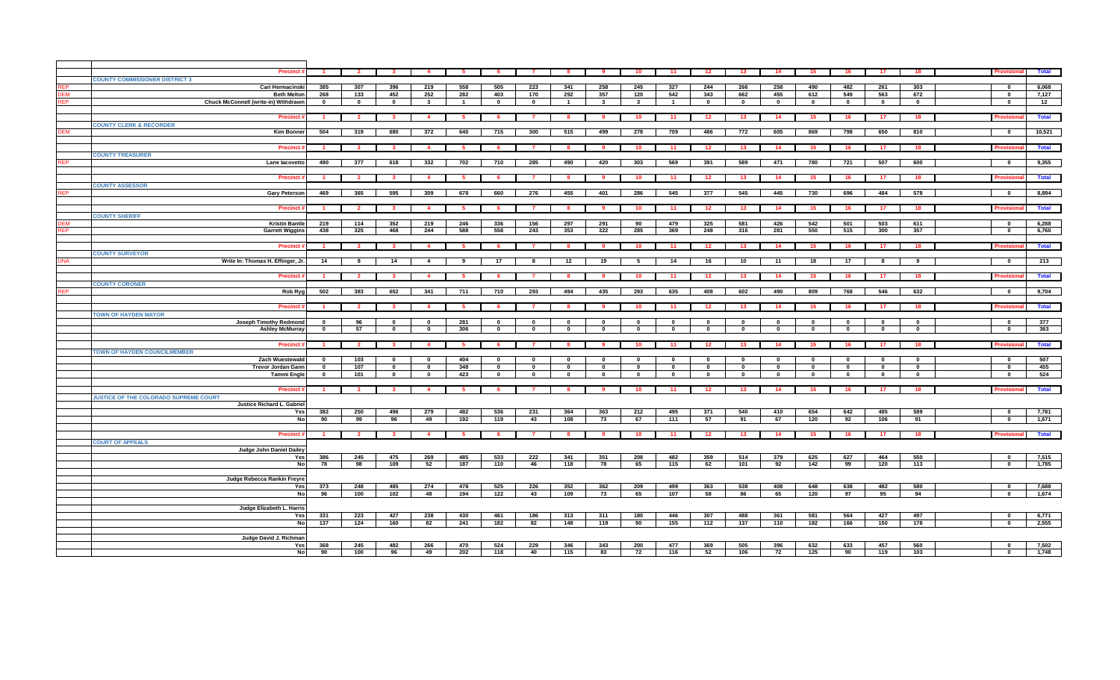|            | <b>Precinct</b>                       |                | $\overline{2}$          |                         |                | 5              |              |                |                |                          | 10                      | 11           | 12           | 13                      | 14           | 15                       | 16.          | 17              | 18                      | Provisio                 |              | Total          |
|------------|---------------------------------------|----------------|-------------------------|-------------------------|----------------|----------------|--------------|----------------|----------------|--------------------------|-------------------------|--------------|--------------|-------------------------|--------------|--------------------------|--------------|-----------------|-------------------------|--------------------------|--------------|----------------|
|            | <b>COUNTY COMMISSIONER DISTRICT 3</b> |                |                         |                         |                |                |              |                |                |                          |                         |              |              |                         |              |                          |              |                 |                         |                          |              |                |
| FP.        | <b>Cari Hermacinski</b>               | 385            | 307                     | 396                     | 219            | 558            | 505          | 223            | 341            | 258                      | 245                     | 327          | 244          | 266                     | 258          | 490                      | 482          | 261             | 303                     | $\mathbf{0}$             |              | 6,068          |
| EM         | <b>Beth Melton</b>                    | 268            | 133                     | 452                     | 252            | 282            | 403          | 170            | 292            | 357                      | 120                     | 542          | 343          | 662                     | 455          | 612                      | 549          | 563             | 672                     | $\mathbf{0}$             |              | 7,127          |
|            | Chuck McConnell (write-in) Withdrawn  |                |                         |                         |                |                |              |                |                |                          |                         |              |              |                         |              |                          |              |                 |                         | $\mathbf 0$              |              |                |
|            |                                       | $\mathbf 0$    | $\mathbf{0}$            | $\mathbf 0$             | $\mathbf{3}$   | $\overline{1}$ | $\mathbf 0$  | $\mathbf 0$    | $\overline{1}$ | $\mathbf{3}$             | $\mathbf{3}$            | $\mathbf{1}$ | $\mathbf{0}$ | $\mathbf{0}$            | $\bf{0}$     | $\mathbf{0}$             | $\mathbf 0$  | $\bf{0}$        | $\mathbf{0}$            |                          |              | 12             |
|            |                                       |                |                         |                         |                |                |              |                |                |                          |                         |              |              |                         |              |                          |              |                 |                         |                          |              |                |
|            | <b>Precinct:</b>                      | $\mathbf{1}$   | $\overline{\mathbf{2}}$ | $\overline{\mathbf{3}}$ | $\overline{4}$ | 5              | - 6          | $\overline{7}$ | -8             | 9                        | 10                      | 11           | 12           | 13                      | 14           | 15                       | 16           | 17 <sub>1</sub> | 18                      | Provisio                 |              | Total          |
|            | <b>COUNTY CLERK &amp; RECORDER</b>    |                |                         |                         |                |                |              |                |                |                          |                         |              |              |                         |              |                          |              |                 |                         |                          |              |                |
| FМ         | <b>Kim Bonne</b>                      | 504            | 319                     | 680                     | 372            | 640            | 715          | 300            | 515            | 499                      | 278                     | 709          | 486          | 772                     | 605          | 869                      | 798          | 650             | 810                     | $\mathbf{0}$             |              | 10,521         |
|            |                                       |                |                         |                         |                |                |              |                |                |                          |                         |              |              |                         |              |                          |              |                 |                         |                          |              |                |
|            |                                       |                |                         |                         |                |                |              |                |                |                          |                         |              |              |                         |              |                          |              |                 |                         |                          |              |                |
|            | <b>Precinct:</b>                      | $\mathbf{1}$   | $\overline{\mathbf{2}}$ | $\mathbf{3}$            | $\overline{4}$ | 5              | - 6          | $\overline{7}$ | - 8            | 9                        | 10                      | 11           | 12           | 13                      | 14           | 15                       | 16           | 17 <sub>1</sub> | 18                      | Provisi                  |              | <b>Total</b>   |
|            | <b>COUNTY TREASURER</b>               |                |                         |                         |                |                |              |                |                |                          |                         |              |              |                         |              |                          |              |                 |                         |                          |              |                |
| <b>REP</b> | Lane lacovetto                        | 490            | 377                     | 618                     | 332            | 702            | 710          | 285            | 490            | 420                      | 303                     | 569          | 391          | 589                     | 471          | 780                      | 721          | 507             | 600                     | $\mathbf{0}$             |              | 9,355          |
|            |                                       |                |                         |                         |                |                |              |                |                |                          |                         |              |              |                         |              |                          |              |                 |                         |                          |              |                |
|            |                                       |                |                         |                         |                |                |              |                |                |                          |                         |              |              |                         |              |                          |              |                 |                         |                          |              |                |
|            | <b>Precinct</b>                       |                | $\mathbf{2}$            | $\mathbf{3}$            | $\mathbf{A}$   | - 5            |              |                | -8             | - 9                      | 10                      | 11           | 12           | 13                      | 14           | 15                       | 16           | 17              | 18                      | Provisi                  |              | <b>Total</b>   |
|            | <b>COUNTY ASSESSOR</b>                |                |                         |                         |                |                |              |                |                |                          |                         |              |              |                         |              |                          |              |                 |                         |                          |              |                |
|            | <b>Gary Peterson</b>                  | 469            | 365                     | 595                     | 309            | 678            | 660          | 276            | 455            | 401                      | 286                     | 545          | 377          | 545                     | 445          | 730                      | 696          | 484             | 578                     | $\bf{0}$                 |              | 8,894          |
|            |                                       |                |                         |                         |                |                |              |                |                |                          |                         |              |              |                         |              |                          |              |                 |                         |                          |              |                |
|            |                                       |                |                         |                         |                |                |              |                |                |                          |                         |              |              |                         |              |                          |              |                 |                         |                          |              |                |
|            | <b>Precinct</b>                       |                | $\overline{\mathbf{2}}$ |                         |                |                |              |                |                |                          | 10                      | 11           | 12           | 13                      | 14           | 15                       | 16           | 17              | 18                      |                          |              | <b>Total</b>   |
|            | <b>COUNTY SHERIFF</b>                 |                |                         |                         |                |                |              |                |                |                          |                         |              |              |                         |              |                          |              |                 |                         |                          |              |                |
|            | <b>Kristin Bantle</b>                 | 219            | 114                     | 352                     | 219            | 246            | 336          | 156            | 297            | 291                      | 90                      | 479          | 325          | 581                     | 426          | 542                      | 501          | 503             | 611                     | $\mathbf{0}$             |              | 6,288          |
| ₹FP        | <b>Garrett Wiggins</b>                | 438            | 325                     | 468                     | 244            | 588            | 558          | 243            | 353            | 322                      | 285                     | 369          | 248          | 316                     | 281          | 550                      | 515          | 300             | 357                     | $\mathbf{0}$             |              | 6,760          |
|            |                                       |                |                         |                         |                |                |              |                |                |                          |                         |              |              |                         |              |                          |              |                 |                         |                          |              |                |
|            |                                       |                |                         |                         |                |                |              |                |                |                          |                         |              |              |                         |              |                          |              |                 |                         |                          |              |                |
|            | <b>Precinct</b>                       |                | $\overline{\mathbf{2}}$ |                         | -4             | -5             |              |                | -8             | -9                       | 10                      | 11           | 12           | 13                      | 14           | 15                       | 16           | 17              | 18                      |                          |              | <b>Total</b>   |
|            | <b>COUNTY SURVEYOR</b>                |                |                         |                         |                |                |              |                |                |                          |                         |              |              |                         |              |                          |              |                 |                         |                          |              |                |
| <b>NA</b>  | Write In: Thomas H. Effinger, Jr.     | 14             | R                       | 14                      |                | $\mathbf{q}$   | 17           |                | 12             | 19                       | -5                      | 14           | 16           | 10                      | 11           | 18                       | 17           |                 | 9                       | $\mathbf{0}$             |              | 213            |
|            |                                       |                |                         |                         |                |                |              |                |                |                          |                         |              |              |                         |              |                          |              |                 |                         |                          |              |                |
|            | <b>Precinct</b>                       |                | $\overline{\mathbf{2}}$ | -3                      |                | -5             |              |                | -8             | - 9                      | 10                      | 11           | 12           | 13                      | 14           | 15                       | 16           | 17              | 18                      | Provision                |              | <b>Total</b>   |
|            |                                       |                |                         |                         |                |                |              |                |                |                          |                         |              |              |                         |              |                          |              |                 |                         |                          |              |                |
|            | <b>COUNTY CORONER</b>                 |                |                         |                         |                |                |              |                |                |                          |                         |              |              |                         |              |                          |              |                 |                         |                          |              |                |
| FP         | Rob Ryg                               | 502            | 383                     | 652                     | 341            | 711            | 710          | 293            | 494            | 435                      | 293                     | 635          | 408          | 602                     | 490          | 809                      | 768          | 546             | 632                     | $\mathbf{0}$             |              | 9,704          |
|            |                                       |                |                         |                         |                |                |              |                |                |                          |                         |              |              |                         |              |                          |              |                 |                         |                          |              |                |
|            | <b>Precinct</b>                       |                | -2                      |                         |                | -5             |              |                |                |                          | 10.                     | 11           | 12           | 13                      | 14           | 15                       | 16           |                 |                         |                          |              | <b>Total</b>   |
|            | <b>TOWN OF HAYDEN MAYOR</b>           |                |                         |                         |                |                |              |                |                |                          |                         |              |              |                         |              |                          |              |                 |                         |                          |              |                |
|            | Joseph Timothy Redmond                | $\mathbf 0$    | 96                      | $\mathbf 0$             | $\mathbf{0}$   | 281            | $\mathbf{0}$ | $\mathbf 0$    | $\mathbf 0$    | $\mathbf 0$              | $\mathbf 0$             | $\mathbf 0$  | $\mathbf 0$  | $\mathbf 0$             | $\mathbf{0}$ | $\mathbf 0$              | $\mathbf{0}$ | $\mathbf{0}$    | $\mathbf{0}$            | $\mathbf{0}$             |              | 377            |
|            | <b>Ashley McMurray</b>                | $\mathbf{0}$   | 57                      | $\mathbf 0$             | $\mathbf 0$    | 306            | $\mathbf{0}$ | $\mathbf 0$    | $\mathbf 0$    | $\overline{\phantom{a}}$ | $\overline{\mathbf{0}}$ | $\mathbf 0$  | $\mathbf{0}$ | $\overline{\mathbf{0}}$ | $\mathbf{0}$ | $\overline{\phantom{a}}$ | $\mathbf{0}$ | $\mathbf 0$     | $\overline{\mathbf{0}}$ | $\overline{\mathbf{0}}$  |              | 363            |
|            |                                       |                |                         |                         |                |                |              |                |                |                          |                         |              |              |                         |              |                          |              |                 |                         |                          |              |                |
|            |                                       |                |                         |                         |                |                |              |                |                |                          |                         |              |              |                         |              |                          |              |                 |                         |                          |              |                |
|            |                                       |                |                         |                         |                |                |              | $\overline{7}$ |                | 9 <sup>1</sup>           | 10                      | 11           | $-12$        | 13                      | 14           | 15                       | 16           |                 |                         | <b>Provisional</b>       |              | Total          |
|            | <b>Precinct:</b>                      | $\blacksquare$ | $\overline{\mathbf{2}}$ | $\mathbf{3}$            | $\overline{4}$ | $-5$           | 6            |                | 8              |                          |                         |              |              |                         |              |                          |              | 17 <sup>2</sup> | 18                      |                          |              |                |
|            | <b>TOWN OF HAYDEN COUNCILMEMBER</b>   |                |                         |                         |                |                |              |                |                |                          |                         |              |              |                         |              |                          |              |                 |                         |                          |              |                |
|            |                                       |                |                         | $\mathbf{0}$            | $\mathbf{0}$   |                | $\mathbf{0}$ | $\mathbf{0}$   | $\mathbf{0}$   |                          | $\mathbf{0}$            | $\mathbf{0}$ | 0            | $\Omega$                | $\Omega$     | $\mathbf 0$              | $\mathbf{0}$ |                 | $\mathbf{0}$            | $\mathbf{0}$             |              |                |
|            | Zach Wuestewald                       | $\mathbf 0$    | 103                     |                         |                | 404            |              |                |                | $\mathbf 0$              |                         |              |              |                         |              |                          |              | $\mathbf{0}$    |                         |                          |              | 507            |
|            | <b>Trevor Jordan Gann</b>             | $\mathbf{0}$   | 107                     | $\mathbf 0$             | $\mathbf{0}$   | 348            | $\mathbf{0}$ | $\mathbf{0}$   | $\mathbf 0$    | $\overline{\phantom{a}}$ | $\mathbf{0}$            | $\Omega$     | $\mathbf{0}$ | $\overline{\bullet}$    | $\mathbf{0}$ | $\mathbf{0}$             | $\mathbf 0$  | $\mathbf{0}$    | $\overline{\mathbf{0}}$ | $\mathbf{0}$             |              | 455            |
|            | <b>Tammi Engle</b>                    | $\mathbf 0$    | 101                     | $\mathbf 0$             | $\mathbf 0$    | 423            | $\mathbf 0$  | $\mathbf{0}$   | $\mathbf 0$    | $\mathbf 0$              | $\mathbf 0$             | $\mathbf{0}$ | $\mathbf 0$  | $\mathbf 0$             | $\mathbf 0$  | $\mathbf{0}$             | $\mathbf 0$  | $\mathbf 0$     | $\mathbf{0}$            | $\mathbf{0}$             |              | 524            |
|            |                                       |                |                         |                         |                |                |              |                |                |                          |                         |              |              |                         |              |                          |              |                 |                         |                          |              |                |
|            | <b>Precinct</b>                       | $\overline{1}$ | $\overline{\mathbf{2}}$ |                         |                | - 5            |              |                |                |                          | 10                      | 11           | 12           | 13                      | 14           | -15                      | 16           | 17              | 18                      |                          |              | <b>Total</b>   |
|            | JUSTICE OF THE COLORADO SUPREME COURT |                |                         |                         |                |                |              |                |                |                          |                         |              |              |                         |              |                          |              |                 |                         |                          |              |                |
|            |                                       |                |                         |                         |                |                |              |                |                |                          |                         |              |              |                         |              |                          |              |                 |                         |                          |              |                |
|            | Justice Richard L. Gabrie             |                |                         |                         |                |                |              |                |                |                          |                         |              |              |                         |              |                          |              |                 |                         | $\mathbf{0}$             |              |                |
|            | Yes                                   | 382            | 250                     | 496                     | 279            | 482            | 536          | 231            | 364            | 363                      | 212                     | 495          | 371          | 540                     | 410          | 654                      | 642          | 485             | 589                     |                          |              | 7,781          |
|            | <b>No</b>                             | 90             | 99                      | 96                      | 49             | 192            | 119          | 43             | 108            | 73                       | 67                      | 111          | 57           | 91                      | 67           | 120                      | 92           | 106             | 91                      | $\mathbf 0$              |              | 1,671          |
|            |                                       |                |                         |                         |                |                |              |                |                |                          |                         |              |              |                         |              |                          |              |                 |                         |                          |              |                |
|            | <b>Precinct:</b>                      | $\mathbf{1}$   | $\overline{\mathbf{2}}$ | $\mathbf{3}$            | $\overline{4}$ | $5^{\circ}$    | - 6          | $\overline{7}$ | -8             | 9                        | 10                      | 11           | 12           | 13                      | 14           | 15                       | 16           | 17              | 18                      | Provision                |              | Total          |
|            | <b>COURT OF APPEALS</b>               |                |                         |                         |                |                |              |                |                |                          |                         |              |              |                         |              |                          |              |                 |                         |                          |              |                |
|            |                                       |                |                         |                         |                |                |              |                |                |                          |                         |              |              |                         |              |                          |              |                 |                         |                          |              |                |
|            | Judge John Daniel Dailey              |                |                         |                         |                |                |              |                |                |                          |                         |              |              |                         |              |                          |              |                 |                         |                          |              |                |
|            | Yes                                   | 386            | 245                     | 475                     | 269            | 485            | 533          | 222            | 341            | 351                      | 208                     | 482          | 359          | 514                     | 379          | 625                      | 627          | 464             | 550                     | $\mathbf 0$              |              | 7,515          |
|            | No                                    | 78             | 98                      | 109                     | 52             | 187            | 110          | 46             | 118            | 78                       | 65                      | 115          | 62           | 101                     | 92           | 142                      | 99           | 120             | 113                     | $\overline{\phantom{a}}$ |              | 1,785          |
|            |                                       |                |                         |                         |                |                |              |                |                |                          |                         |              |              |                         |              |                          |              |                 |                         |                          |              |                |
|            | Judge Rebecca Rankin Freyre           |                |                         |                         |                |                |              |                |                |                          |                         |              |              |                         |              |                          |              |                 |                         |                          |              |                |
|            | Yes                                   | 373            | 248                     | 485                     | 274            | 478            | 525          | 226            | 352            | 362                      | 209                     | 499          | 363          | 538                     | 408          | 648                      | 638          | 482             | 580                     | $\Omega$                 |              | 7,688          |
|            |                                       |                |                         |                         |                |                |              |                |                |                          |                         |              |              |                         |              |                          |              |                 |                         | $\mathbf 0$              |              |                |
|            | No                                    | 96             | 100                     | 102                     | 48             | 194            | 122          | 43             | 109            | 73                       | 65                      | 107          | 58           | 86                      | 65           | 120                      | 97           | 95              | 94                      |                          |              | 1,674          |
|            |                                       |                |                         |                         |                |                |              |                |                |                          |                         |              |              |                         |              |                          |              |                 |                         |                          |              |                |
|            | Judge Elizabeth L. Harris             |                |                         |                         |                |                |              |                |                |                          |                         |              |              |                         |              |                          |              |                 |                         |                          |              |                |
|            | Yes                                   | 331            | 223                     | 427                     | 238            | 430            | 461          | 186            | 313            | 311                      | 180                     | 446          | 307          | 488                     | 361          | 581                      | 564          | 427             | 497                     | $\mathbf{0}$             |              | 6,771          |
|            | No                                    | 137            | 124                     | 160                     | 82             | 241            | 182          | 82             | 148            | 119                      | 90                      | 155          | 112          | 137                     | 110          | 182                      | 166          | 150             | 178                     | $\mathbf{0}$             |              | 2,555          |
|            |                                       |                |                         |                         |                |                |              |                |                |                          |                         |              |              |                         |              |                          |              |                 |                         |                          |              |                |
|            |                                       |                |                         |                         |                |                |              |                |                |                          |                         |              |              |                         |              |                          |              |                 |                         |                          |              |                |
|            | Judge David J. Richman                |                |                         |                         |                |                |              |                |                |                          |                         |              |              |                         |              |                          |              |                 |                         |                          |              |                |
|            | Yes<br>$\overline{N}$                 | 368<br>90      | 245<br>100              | 482<br>96               | 266<br>49      | 470<br>202     | 524<br>118   | 229<br>40      | 346<br>115     | 343<br>83                | 200<br>72               | 477<br>116   | 369<br>52    | 505<br>106              | 396<br>72    | 632<br>125               | 633<br>90    | 457<br>119      | 560<br>103              | $\mathbf 0$              | $\mathbf{0}$ | 7,502<br>1,748 |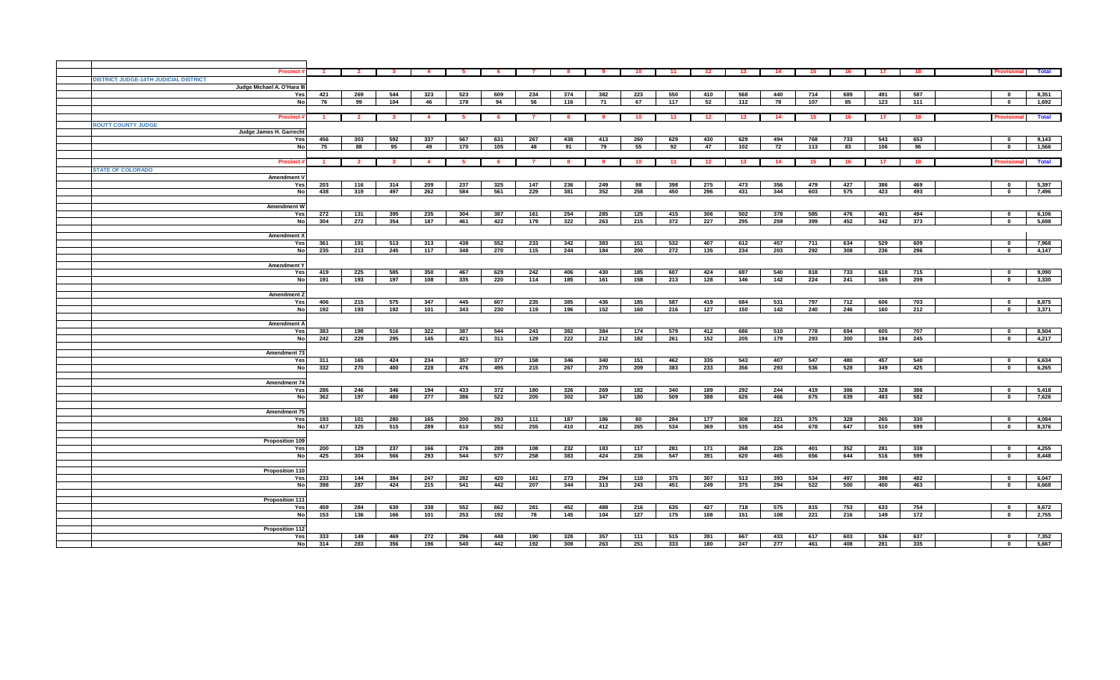| <b>Precinct</b>                       |              | $\overline{2}$          |                         |                |     |     |                |     | - 9 | 10  | 11  | 12  | 13  | 14  | 15  |     | 17  | 18  |                  | <b>Total</b> |
|---------------------------------------|--------------|-------------------------|-------------------------|----------------|-----|-----|----------------|-----|-----|-----|-----|-----|-----|-----|-----|-----|-----|-----|------------------|--------------|
| DISTRICT JUDGE-14TH JUDICIAL DISTRICT |              |                         |                         |                |     |     |                |     |     |     |     |     |     |     |     |     |     |     |                  |              |
| Judge Michael A. O'Hara III           |              |                         |                         |                |     |     |                |     |     |     |     |     |     |     |     |     |     |     |                  |              |
| Yes                                   | 421          | 269                     | 544                     | 323            | 523 | 609 | 234            | 374 | 382 | 223 | 550 | 410 | 568 | 440 | 714 | 689 | 491 | 587 | $\mathbf{0}$     | 8,351        |
| No                                    | 76           | 99                      | 104                     | 46             | 178 | 94  | 56             | 116 | 71  | 67  | 117 | 52  | 112 | 78  | 107 | 85  | 123 | 111 | $\mathbf 0$      | 1,692        |
|                                       |              |                         |                         |                |     |     |                |     |     |     |     |     |     |     |     |     |     |     |                  |              |
| <b>Precinct</b>                       | $\mathbf{1}$ | $\overline{\mathbf{2}}$ | $\overline{\mathbf{3}}$ | $\overline{4}$ | - 5 | -6  | $\overline{7}$ | - 8 | - 9 | 10  | 11  | 12  | 13  | 14  | 15  | 16  | 17  | 18  | <b>Provision</b> | Total        |
|                                       |              |                         |                         |                |     |     |                |     |     |     |     |     |     |     |     |     |     |     |                  |              |
| <b>ROUTT COUNTY JUDGE</b>             |              |                         |                         |                |     |     |                |     |     |     |     |     |     |     |     |     |     |     |                  |              |
| Judge James H. Garrecht               |              |                         |                         |                |     |     |                |     |     |     |     |     |     |     |     |     |     |     |                  |              |
| Yes                                   | 456          | 303                     | 592                     | 337            | 567 | 631 | 267            | 438 | 413 | 260 | 629 | 430 | 629 | 494 | 768 | 733 | 543 | 653 | $\mathbf{0}$     | 9,143        |
| <b>No</b>                             | 75           | 88                      | 95                      | 49             | 170 | 105 | 48             | 91  | 79  | 55  | 92  | 47  | 102 | 72  | 113 | 83  | 106 | 96  | $\mathbf 0$      | 1,566        |
|                                       |              |                         |                         |                |     |     |                |     |     |     |     |     |     |     |     |     |     |     |                  |              |
| <b>Precinct</b>                       | $\sim$       | $\sim$ 2                | $\mathbf{3}$            | $\overline{a}$ | - 5 | - 6 | $\mathbf{z}$   | -8  | - 9 | 10  | 11  | 12  | 13  | 14  | 15  | 16. | 17  | 18  | Provisional      | Total        |
| <b>STATE OF COLORADO</b>              |              |                         |                         |                |     |     |                |     |     |     |     |     |     |     |     |     |     |     |                  |              |
| Amendment V                           |              |                         |                         |                |     |     |                |     |     |     |     |     |     |     |     |     |     |     |                  |              |
| Yes                                   | 203          | 116                     | 314                     | 209            | 237 | 325 | 147            | 236 | 249 | 98  | 398 | 275 | 473 | 356 | 479 | 427 | 386 | 469 | $\mathbf{a}$     | 5,397        |
| No                                    | 438          | 319                     | 497                     | 262            | 584 | 561 | 229            | 381 | 352 | 258 | 450 | 296 | 431 | 344 | 603 | 575 | 423 | 493 | $\mathbf 0$      | 7,496        |
|                                       |              |                         |                         |                |     |     |                |     |     |     |     |     |     |     |     |     |     |     |                  |              |
| <b>Amendment W</b>                    |              |                         |                         |                |     |     |                |     |     |     |     |     |     |     |     |     |     |     |                  |              |
| Yes                                   | 272          | 131                     | 395                     | 235            | 304 | 387 | 161            | 254 | 285 | 125 | 415 | 306 | 502 | 378 | 585 | 476 | 401 | 494 | $\mathbf{0}$     | 6,106        |
| No                                    | 304          | 272                     | 354                     | 187            | 461 | 422 | 179            | 322 | 263 | 215 | 372 | 227 | 295 | 259 | 399 | 452 | 342 | 373 | $\mathbf{0}$     | 5,698        |
|                                       |              |                         |                         |                |     |     |                |     |     |     |     |     |     |     |     |     |     |     |                  |              |
| <b>Amendment X</b>                    |              |                         |                         |                |     |     |                |     |     |     |     |     |     |     |     |     |     |     |                  |              |
| Yes                                   | 361          | 191                     | 513                     | 313            | 438 | 552 | 233            | 342 | 383 | 151 | 532 | 407 | 612 | 457 | 711 | 634 | 529 | 609 | $\mathbf{0}$     | 7,968        |
| No                                    | 235          | 213                     | 245                     | 117            | 348 | 270 | 115            | 244 | 184 | 200 | 272 | 135 | 234 | 203 | 292 | 308 | 236 | 296 | $\mathbf 0$      | 4,147        |
|                                       |              |                         |                         |                |     |     |                |     |     |     |     |     |     |     |     |     |     |     |                  |              |
| <b>Amendment Y</b>                    |              |                         |                         |                |     |     |                |     |     |     |     |     |     |     |     |     |     |     |                  |              |
|                                       |              |                         |                         |                |     |     |                |     |     |     |     |     |     |     |     |     |     |     |                  |              |
| Yes                                   | 419          | 225                     | 585                     | 350            | 467 | 629 | 242            | 406 | 430 | 185 | 607 | 424 | 697 | 540 | 818 | 733 | 618 | 715 | $\Omega$         | 9,090        |
| <b>No</b>                             | 191          | 193                     | 197                     | 108            | 335 | 220 | 114            | 185 | 161 | 158 | 213 | 128 | 146 | 142 | 224 | 241 | 165 | 209 | $\mathbf{0}$     | 3,330        |
|                                       |              |                         |                         |                |     |     |                |     |     |     |     |     |     |     |     |     |     |     |                  |              |
| <b>Amendment 2</b>                    |              |                         |                         |                |     |     |                |     |     |     |     |     |     |     |     |     |     |     |                  |              |
| Yes                                   | 406          | 215                     | 575                     | 347            | 445 | 607 | 235            | 385 | 436 | 185 | 587 | 419 | 684 | 531 | 797 | 712 | 606 | 703 | $\mathbf{0}$     | 8,875        |
| No                                    | 192          | 193                     | 192                     | 101            | 343 | 230 | 119            | 196 | 152 | 160 | 216 | 127 | 150 | 142 | 240 | 246 | 160 | 212 | $\mathbf 0$      | 3,371        |
|                                       |              |                         |                         |                |     |     |                |     |     |     |     |     |     |     |     |     |     |     |                  |              |
| <b>Amendment A</b>                    |              |                         |                         |                |     |     |                |     |     |     |     |     |     |     |     |     |     |     |                  |              |
| Yes                                   | 383          | 198                     | 516                     | 322            | 387 | 544 | 243            | 382 | 384 | 174 | 579 | 412 | 686 | 510 | 778 | 694 | 605 | 707 | $\mathbf{0}$     | 8,504        |
| No                                    | 242          | 229                     | 295                     | 145            | 421 | 311 | 129            | 222 | 212 | 182 | 261 | 152 | 205 | 179 | 293 | 300 | 194 | 245 | $\mathbf 0$      | 4,217        |
|                                       |              |                         |                         |                |     |     |                |     |     |     |     |     |     |     |     |     |     |     |                  |              |
| Amendment 73                          |              |                         |                         |                |     |     |                |     |     |     |     |     |     |     |     |     |     |     |                  |              |
| Yes                                   | 311          | 165                     | 424                     | 234            | 357 | 377 | 158            | 346 | 340 | 151 | 462 | 335 | 543 | 407 | 547 | 480 | 457 | 540 | $\mathbf 0$      | 6,634        |
| <b>No</b>                             | 332          | 270                     | 400                     | 228            | 476 | 495 | 215            | 267 | 270 | 209 | 383 | 233 | 356 | 293 | 536 | 528 | 349 | 425 | $\mathbf 0$      | 6,265        |
|                                       |              |                         |                         |                |     |     |                |     |     |     |     |     |     |     |     |     |     |     |                  |              |
| Amendment 74                          |              |                         |                         |                |     |     |                |     |     |     |     |     |     |     |     |     |     |     |                  |              |
| Yes                                   | 286          | 246                     | 346                     | 194            | 433 | 372 | 180            | 326 | 269 | 182 | 340 | 189 | 292 | 244 | 419 | 386 | 328 | 386 | $\mathbf{0}$     | 5,418        |
| <b>No</b>                             | 362          | 197                     | 480                     | 277            | 386 | 522 | 205            | 302 | 347 | 180 | 509 | 388 | 626 | 466 | 675 | 639 | 483 | 582 | $\mathbf 0$      | 7,626        |
|                                       |              |                         |                         |                |     |     |                |     |     |     |     |     |     |     |     |     |     |     |                  |              |
| Amendment 75                          |              |                         |                         |                |     |     |                |     |     |     |     |     |     |     |     |     |     |     |                  |              |
| Yes                                   | 193          | 101                     | 280                     | 165            | 200 | 293 | 111            | 187 | 186 | 80  | 284 | 177 | 308 | 221 | 375 | 328 | 265 | 330 | $\mathbf{0}$     | 4,084        |
| <b>No</b>                             | 417          | 325                     | 515                     | 289            | 610 | 552 | 255            | 410 | 412 | 265 | 534 | 369 | 535 | 454 | 678 | 647 | 510 | 599 | $\mathbf 0$      | 8,376        |
|                                       |              |                         |                         |                |     |     |                |     |     |     |     |     |     |     |     |     |     |     |                  |              |
| <b>Proposition 109</b>                |              |                         |                         |                |     |     |                |     |     |     |     |     |     |     |     |     |     |     |                  |              |
| Yes                                   | 200          | 129                     | 237                     | 166            | 276 | 289 | 108            | 232 | 183 | 117 | 281 | 171 | 268 | 226 | 401 | 352 | 281 | 338 | $\mathbf{0}$     | 4,255        |
| <b>No</b>                             | 425          | 304                     | 566                     | 293            | 544 | 577 | 258            | 383 | 424 | 236 | 547 | 391 | 620 | 465 | 656 | 644 | 516 | 599 | $\mathbf 0$      | 8,448        |
|                                       |              |                         |                         |                |     |     |                |     |     |     |     |     |     |     |     |     |     |     |                  |              |
| Proposition 110                       |              |                         |                         |                |     |     |                |     |     |     |     |     |     |     |     |     |     |     |                  |              |
| Yes                                   | 233          | 144                     | 384                     | 247            | 282 | 420 | 161            | 273 | 294 | 110 | 375 | 307 | 513 | 393 | 534 | 497 | 398 | 482 | $\mathbf 0$      | 6,047        |
| <b>No</b>                             | 398          | 287                     | 424                     | 215            | 541 | 442 | 207            | 344 | 313 | 243 | 451 | 249 | 375 | 294 | 522 | 500 | 400 | 463 | $\mathbf 0$      | 6,668        |
|                                       |              |                         |                         |                |     |     |                |     |     |     |     |     |     |     |     |     |     |     |                  |              |
| <b>Proposition 111</b>                |              |                         |                         |                |     |     |                |     |     |     |     |     |     |     |     |     |     |     |                  |              |
| Yes                                   | 459          | 284                     | 630                     | 338            | 552 | 662 | 281            | 452 | 488 | 216 | 635 | 427 | 718 | 575 | 815 | 753 | 633 | 754 | $\mathbf{0}$     | 9,672        |
| <b>No</b>                             | 153          | 136                     | 166                     | 101            | 253 | 192 | 78             | 145 | 104 | 127 | 175 | 108 | 151 | 108 | 221 | 216 | 149 | 172 | $\mathbf 0$      | 2,755        |
|                                       |              |                         |                         |                |     |     |                |     |     |     |     |     |     |     |     |     |     |     |                  |              |
| <b>Proposition 112</b>                |              |                         |                         |                |     |     |                |     |     |     |     |     |     |     |     |     |     |     |                  |              |
| Yes                                   | 333          | 149                     | 469                     | 272            | 296 | 448 | 190            | 328 | 357 | 111 | 515 | 391 | 667 | 433 | 617 | 603 | 536 | 637 | $\mathbf{0}$     | 7,352        |
| No                                    | 314          | 283                     | 356                     | 196            | 540 | 442 | 192            | 308 | 263 | 251 | 333 | 180 | 247 | 277 | 461 | 408 | 281 | 335 | $\mathbf 0$      | 5,667        |
|                                       |              |                         |                         |                |     |     |                |     |     |     |     |     |     |     |     |     |     |     |                  |              |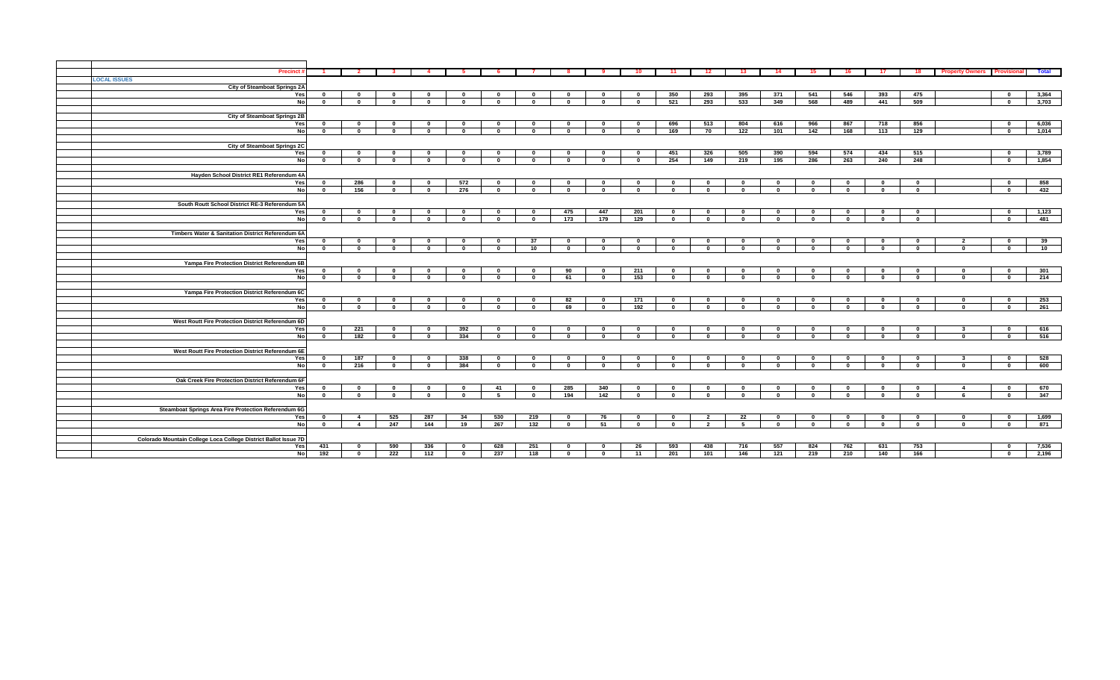| <b>Precinct</b>                                                 |              | $\overline{2}$ | - 3                         |              | - 5          |                              |              | -8           |              | 10                      | 11                  | 12             | 13           | 14                          | 15           | 16           | 17           | 18           | <b>Property Owners</b> | <b>Provisional</b>      | Total      |
|-----------------------------------------------------------------|--------------|----------------|-----------------------------|--------------|--------------|------------------------------|--------------|--------------|--------------|-------------------------|---------------------|----------------|--------------|-----------------------------|--------------|--------------|--------------|--------------|------------------------|-------------------------|------------|
| <b>LOCAL ISSUES</b>                                             |              |                |                             |              |              |                              |              |              |              |                         |                     |                |              |                             |              |              |              |              |                        |                         |            |
| <b>City of Steamboat Springs 2A</b>                             |              |                |                             |              |              |                              |              |              |              |                         |                     |                |              |                             |              |              |              |              |                        |                         |            |
| Yes                                                             | $\mathbf{0}$ | $\mathbf{0}$   | $\mathbf 0$                 | $\mathbf{0}$ | $\mathbf{0}$ | $\mathbf{0}$                 | $\mathbf{0}$ | $\mathbf 0$  | $\mathbf 0$  | $\mathbf{0}$            | 350                 | 293            | 395          | 371                         | 541          | 546          | 393          | 475          |                        | $\overline{\mathbf{0}}$ | 3,364      |
| No                                                              | $\mathbf{0}$ | $\mathbf{0}$   | $\mathbf 0$                 | $\mathbf 0$  | $\mathbf 0$  | $\mathbf{0}$                 | $\mathbf 0$  | $\mathbf{0}$ | $\mathbf{0}$ | $\mathbf{0}$            | 521                 | 293            | 533          | 349                         | 568          | 489          | 441          | 509          |                        | $\bf{0}$                | 3,703      |
|                                                                 |              |                |                             |              |              |                              |              |              |              |                         |                     |                |              |                             |              |              |              |              |                        |                         |            |
| City of Steamboat Springs 2B                                    |              |                |                             |              |              |                              |              |              |              |                         |                     |                |              |                             |              |              |              |              |                        |                         |            |
| Yes                                                             | $\mathbf{0}$ | $\mathbf{0}$   | $\mathbf{0}$                | $\mathbf{0}$ | $\mathbf{0}$ | 0                            | $\mathbf 0$  | $\mathbf 0$  | $\mathbf 0$  | $\mathbf{0}$            | 696                 | 513            | 804          | 616                         | 966          | 867          | 718          | 856          |                        | $\mathbf{0}$            | 6,036      |
| No                                                              | $\mathbf{0}$ | $\mathbf{0}$   | $\mathbf{a}$                | $\mathbf{0}$ | $\mathbf{0}$ | $\mathbf{a}$                 | $\mathbf{0}$ | $\mathbf 0$  | $\mathbf 0$  | $\mathbf{0}$            | 169                 | 70             | 122          | 101                         | 142          | 168          | 113          | 129          |                        | $\mathbf{0}$            | 1,014      |
|                                                                 |              |                |                             |              |              |                              |              |              |              |                         |                     |                |              |                             |              |              |              |              |                        |                         |            |
| <b>City of Steamboat Springs 2C</b>                             |              |                |                             |              |              |                              |              |              |              |                         |                     |                |              |                             |              |              |              |              |                        |                         |            |
| Yes                                                             | $\mathbf{0}$ | $\mathbf{0}$   | $\mathbf{0}$                | $\mathbf{0}$ | $\mathbf{0}$ | $\mathbf{0}$                 | $\mathbf{0}$ | $\mathbf{0}$ | $\mathbf 0$  | $\overline{\mathbf{0}}$ | 451                 | 326            | 505          | 390                         | 594          | 574          | 434          | 515          |                        | $\mathbf{0}$            | 3,789      |
| No                                                              | $\mathbf{0}$ | $\mathbf{0}$   | $\Omega$                    | $\mathbf{0}$ | $\mathbf{0}$ | $\Omega$                     | $\mathbf 0$  | $\mathbf{0}$ | $\mathbf{0}$ | $\mathbf{0}$            | 254                 | 149            | 219          | 195                         | 286          | 263          | 240          | 248          |                        | $\mathbf{0}$            | 1,854      |
|                                                                 |              |                |                             |              |              |                              |              |              |              |                         |                     |                |              |                             |              |              |              |              |                        |                         |            |
| Hayden School District RE1 Referendum 4A                        |              |                |                             |              |              |                              |              |              |              |                         |                     |                |              |                             |              |              |              |              |                        |                         |            |
| Yes                                                             | $\mathbf{0}$ | 286            | - 0                         | $\mathbf{0}$ | 572          | $\mathbf{0}$                 | $\mathbf{0}$ | $\mathbf 0$  | $\mathbf 0$  | $\mathbf{0}$            | - 0<br>$\mathbf{a}$ | $\mathbf{0}$   | $\mathbf{0}$ | $\mathbf 0$                 | $\mathbf 0$  | $\mathbf{0}$ | $\mathbf{0}$ | $\mathbf 0$  |                        | $\mathbf{0}$            | 858        |
| <b>No</b>                                                       | $\mathbf{0}$ | 156            | $\mathbf 0$                 | $\mathbf{0}$ | 276          | $\mathbf{0}$                 | $\mathbf{0}$ | $\mathbf 0$  | $\mathbf{0}$ | $\mathbf{0}$            |                     | $\mathbf{0}$   | $\mathbf{0}$ | $\mathbf{0}$                | $\mathbf{0}$ | $\mathbf 0$  | $\mathbf 0$  | $\mathbf{0}$ |                        | $\mathbf{0}$            | 432        |
| South Routt School District RE-3 Referendum 5A                  |              |                |                             |              |              |                              |              |              |              |                         |                     |                |              |                             |              |              |              |              |                        |                         |            |
| Yes                                                             | $\mathbf{o}$ | - 0            | $\mathbf{0}$                | $\mathbf{0}$ | $\mathbf 0$  | 0                            | $\mathbf{0}$ | 475          | 447          | 201                     | $\mathbf{0}$        | $\mathbf{0}$   | $\mathbf 0$  | $\mathbf 0$                 | $\mathbf 0$  | $\mathbf 0$  | $\mathbf{0}$ | $\mathbf 0$  |                        | $\mathbf{0}$            | 1,123      |
| <b>No</b>                                                       | $\mathbf{0}$ | $\mathbf{0}$   | $\Omega$                    | $\mathbf{0}$ | $\mathbf 0$  | $\Omega$                     | $\mathbf 0$  | 173          | 179          | 129                     | $\mathbf{0}$        | $\bf{0}$       | $\mathbf 0$  | $\mathbf 0$                 | $\mathbf 0$  | $\mathbf 0$  | $\mathbf 0$  | $\mathbf 0$  |                        | $\mathbf{0}$            | 481        |
|                                                                 |              |                |                             |              |              |                              |              |              |              |                         |                     |                |              |                             |              |              |              |              |                        |                         |            |
| Timbers Water & Sanitation District Referendum 6A               |              |                |                             |              |              |                              |              |              |              |                         |                     |                |              |                             |              |              |              |              |                        |                         |            |
| Yes                                                             | $\mathbf{0}$ | $\mathbf{0}$   |                             | $\mathbf{0}$ | $\mathbf{0}$ | - 0                          | 37           | $\mathbf 0$  | $\mathbf 0$  | $\mathbf{0}$            |                     | $\mathbf{0}$   | $\mathbf{0}$ | $\mathbf{0}$                | $\mathbf{0}$ | $\mathbf{0}$ | $\mathbf 0$  | $\mathbf 0$  | $\overline{2}$         | $\mathbf{0}$            | 39         |
| <b>No</b>                                                       | $\mathbf 0$  | $\mathbf{0}$   | $\mathbf 0$                 | $\mathbf{0}$ | $\mathbf 0$  | $\Omega$                     | 10           | $\mathbf 0$  | $\mathbf{0}$ | $\mathbf{0}$            | $\mathbf{0}$        | $\mathbf{0}$   | $\mathbf{0}$ | $\mathbf 0$                 | $\mathbf 0$  | $\mathbf{0}$ | $\mathbf 0$  | $\mathbf 0$  | $\mathbf 0$            | $\mathbf{0}$            | 10         |
|                                                                 |              |                |                             |              |              |                              |              |              |              |                         |                     |                |              |                             |              |              |              |              |                        |                         |            |
| Yampa Fire Protection District Referendum 6B                    |              |                |                             |              |              |                              |              |              |              |                         |                     |                |              |                             |              |              |              |              |                        |                         |            |
| Yes                                                             | $\mathbf{0}$ | $\mathbf{0}$   | $\mathbf 0$                 | $\mathbf{0}$ | $\mathbf 0$  | $\mathbf{0}$                 | $\mathbf{0}$ | 90           | $\mathbf{0}$ | 211                     | $\mathbf{0}$        | $\mathbf{0}$   | $\mathbf{0}$ | $\mathbf{0}$                | $\mathbf{0}$ | $\mathbf 0$  | $\mathbf{0}$ | $\mathbf{0}$ | $\mathbf{0}$           | $\bf{0}$                | 301        |
| No                                                              | $\mathbf 0$  | $\bf{0}$       | $\mathbf 0$                 | $\mathbf{0}$ | $\mathbf{0}$ | $\Omega$                     | $\mathbf 0$  | 61           | $\bf{0}$     | 153                     | $\mathbf{0}$        | $\mathbf 0$    | $\mathbf 0$  | $\mathbf 0$                 | $\mathbf{0}$ | $\mathbf 0$  | $\mathbf{0}$ | $\mathbf 0$  | $\mathbf{0}$           | $\bf{0}$                | 214        |
|                                                                 |              |                |                             |              |              |                              |              |              |              |                         |                     |                |              |                             |              |              |              |              |                        |                         |            |
| Yampa Fire Protection District Referendum 6C                    |              |                |                             |              |              |                              |              |              |              |                         |                     |                |              |                             |              |              |              |              |                        |                         |            |
| Yes                                                             | $\mathbf{0}$ | $\mathbf{0}$   | $\mathbf 0$                 | $\mathbf{0}$ | $\mathbf{0}$ | $\mathbf{0}$                 | $\mathbf 0$  | 82           | $\mathbf{0}$ | 171                     | $\mathbf{0}$        | $\mathbf{0}$   | $\mathbf 0$  | $\mathbf{0}$                | $\mathbf{0}$ | $\mathbf 0$  | $\mathbf 0$  | $\mathbf 0$  | $\mathbf 0$            | $\mathbf{0}$            | 253        |
| No                                                              | $\mathbf 0$  | $\bf{0}$       | $\mathbf{0}$                | $\mathbf 0$  | $\mathbf 0$  | $\Omega$                     | $\mathbf 0$  | 69           | $\bf{0}$     | 192                     | $\mathbf{0}$        | $\mathbf 0$    | $\mathbf 0$  | $\mathbf 0$                 | $\mathbf 0$  | $\mathbf 0$  | $\mathbf 0$  | $\mathbf 0$  | $\mathbf{0}$           | $\mathbf{0}$            | 261        |
|                                                                 |              |                |                             |              |              |                              |              |              |              |                         |                     |                |              |                             |              |              |              |              |                        |                         |            |
| West Routt Fire Protection District Referendum 6D               | $\mathbf{0}$ |                |                             | $\mathbf{0}$ |              |                              | $\mathbf 0$  | $\mathbf 0$  | $\mathbf 0$  | $\mathbf{0}$            |                     | $\mathbf{0}$   | $\mathbf 0$  |                             | $\mathbf{0}$ | $\mathbf 0$  | $\mathbf 0$  | $\mathbf{0}$ | $\mathbf{3}$           | $\mathbf{0}$            |            |
| Yes<br>No                                                       | $\mathbf 0$  | 221<br>182     | $\mathbf{0}$<br>$\mathbf 0$ | $\mathbf{0}$ | 392<br>334   | $\mathbf{0}$<br>$\mathbf{0}$ | $\mathbf{0}$ | $\mathbf{0}$ | $\mathbf{0}$ | $\mathbf{0}$            | 0<br>$\mathbf{a}$   | $\mathbf{0}$   | $\mathbf 0$  | $\mathbf{0}$<br>$\mathbf 0$ | $\mathbf{0}$ | $\mathbf 0$  | $\mathbf 0$  | $\mathbf{0}$ | $\mathbf{0}$           | $\mathbf{0}$            | 616<br>516 |
|                                                                 |              |                |                             |              |              |                              |              |              |              |                         |                     |                |              |                             |              |              |              |              |                        |                         |            |
| West Routt Fire Protection District Referendum 6E               |              |                |                             |              |              |                              |              |              |              |                         |                     |                |              |                             |              |              |              |              |                        |                         |            |
| Yes                                                             | $\mathbf{o}$ | 187            | 0                           | $\mathbf{0}$ | 338          | 0                            | $\mathbf{0}$ | $\mathbf 0$  | $\mathbf 0$  | $\mathbf{0}$            |                     | $\mathbf{0}$   | $\mathbf 0$  | $\mathbf{0}$                | $\mathbf 0$  | $\mathbf 0$  | $\mathbf{0}$ | $\mathbf 0$  | - 3                    | $\mathbf{0}$            | 528        |
| No                                                              | $\mathbf 0$  | 216            | $\mathbf{0}$                | $\mathbf{0}$ | 384          | $\mathbf{a}$                 | $\mathbf{0}$ | $^{\circ}$   | $\mathbf{0}$ | $\mathbf{0}$            |                     | $\mathbf{0}$   | $\mathbf{0}$ | $\mathbf{0}$                | $\Omega$     | $\mathbf{0}$ | $\mathbf{0}$ | $\mathbf{0}$ | $\mathbf{0}$           | $\mathbf{0}$            | 600        |
|                                                                 |              |                |                             |              |              |                              |              |              |              |                         |                     |                |              |                             |              |              |              |              |                        |                         |            |
| Oak Creek Fire Protection District Referendum 6F                |              |                |                             |              |              |                              |              |              |              |                         |                     |                |              |                             |              |              |              |              |                        |                         |            |
| Yes                                                             | $\mathbf{0}$ | $\mathbf{0}$   | 0                           | $\mathbf{0}$ | $\mathbf{0}$ | 41                           | $\mathbf 0$  | 285          | 340          | $\mathbf{0}$            | 0                   | $\mathbf{0}$   | $\mathbf{0}$ | $\mathbf 0$                 | $\mathbf 0$  | $\mathbf{0}$ | $\mathbf 0$  | $\mathbf 0$  | $\overline{4}$         | $\bf{0}$                | 670        |
| No                                                              | $\mathbf{0}$ | $\mathbf{0}$   | $\mathbf 0$                 | $\mathbf{0}$ | $\mathbf 0$  | - 5                          | $\mathbf 0$  | 194          | 142          | $\mathbf{0}$            |                     | $\mathbf{0}$   | $\mathbf{0}$ | $\mathbf 0$                 | $\mathbf{0}$ | $\mathbf{0}$ | $\mathbf 0$  | $\mathbf{0}$ |                        | $\mathbf{0}$            | 347        |
|                                                                 |              |                |                             |              |              |                              |              |              |              |                         |                     |                |              |                             |              |              |              |              |                        |                         |            |
| Steamboat Springs Area Fire Protection Referendum 6G            |              |                |                             |              |              |                              |              |              |              |                         |                     |                |              |                             |              |              |              |              |                        |                         |            |
| Yes                                                             | $\mathbf{o}$ | $\overline{4}$ | 525                         | 287          | 34           | 530                          | 219          | $\mathbf 0$  | 76           | $\mathbf{0}$            | - 0                 | $\overline{2}$ | 22           | $\mathbf 0$                 | $\mathbf 0$  | $\mathbf{0}$ | $\mathbf{0}$ | $\mathbf 0$  | $\mathbf{0}$           | - 0                     | 1,699      |
| <b>No</b>                                                       | $\mathbf 0$  | $\overline{4}$ | 247                         | 144          | 19           | 267                          | 132          | $\mathbf 0$  | 51           | $\mathbf 0$             | $\mathbf{0}$        | $\overline{2}$ | 5            | $\mathbf 0$                 | $\mathbf 0$  | $\mathbf{0}$ | $\mathbf{0}$ | $\mathbf 0$  | $\mathbf{0}$           | $\mathbf 0$             | 871        |
|                                                                 |              |                |                             |              |              |                              |              |              |              |                         |                     |                |              |                             |              |              |              |              |                        |                         |            |
| Colorado Mountain College Loca College District Ballot Issue 7D |              |                |                             |              |              |                              |              |              |              |                         |                     |                |              |                             |              |              |              |              |                        |                         |            |
| Yes                                                             | 431          | $\mathbf{0}$   | 590                         | 336          | $\mathbf{0}$ | 628                          | 251          | $\mathbf{0}$ | $\mathbf 0$  | 26                      | 593                 | 438            | 716          | 557                         | 824          | 762          | 631          | 753          |                        | $\mathbf{0}$            | 7,536      |
| No                                                              | 192          | $\bullet$      | 222                         | 112          | $\mathbf 0$  | 237                          | 118          | $\mathbf 0$  | $\bf{0}$     | 11                      | 201                 | 101            | 146          | 121                         | 219          | 210          | 140          | 166          |                        | $\overline{\mathbf{0}}$ | 2,196      |